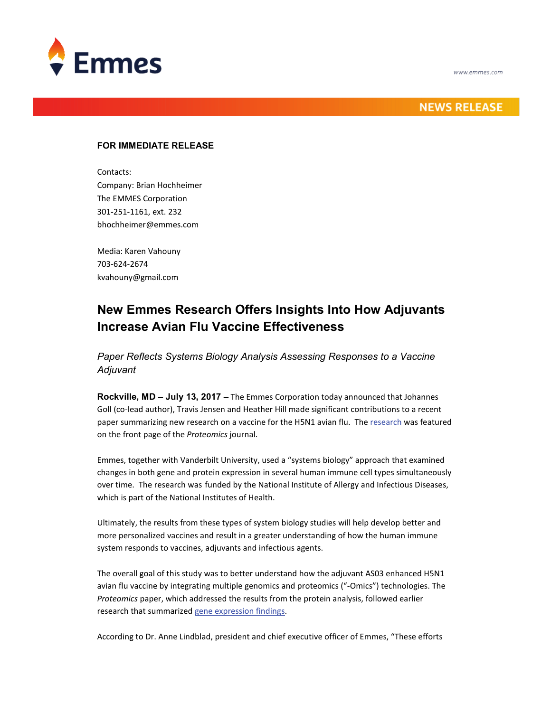

## **NEWS RELEASE**

### **FOR IMMEDIATE RELEASE**

Contacts: Company: Brian Hochheimer The EMMES Corporation 301-251-1161, ext. 232 bhochheimer@emmes.com

Media: Karen Vahouny 703-624-2674 kvahouny@gmail.com

# **New Emmes Research Offers Insights Into How Adjuvants Increase Avian Flu Vaccine Effectiveness**

*Paper Reflects Systems Biology Analysis Assessing Responses to a Vaccine Adjuvant* 

**Rockville, MD – July 13, 2017 –** The Emmes Corporation today announced that Johannes Goll (co-lead author), Travis Jensen and Heather Hill made significant contributions to a recent paper summarizing new research on a vaccine for the H5N1 avian flu. Th[e research](http://onlinelibrary.wiley.com/doi/10.1002/pmic.v17.12/issuetoc) was featured on the front page of the *Proteomics* journal.

Emmes, together with Vanderbilt University, used a "systems biology" approach that examined changes in both gene and protein expression in several human immune cell types simultaneously over time. The research was funded by the National Institute of Allergy and Infectious Diseases, which is part of the National Institutes of Health.

Ultimately, the results from these types of system biology studies will help develop better and more personalized vaccines and result in a greater understanding of how the human immune system responds to vaccines, adjuvants and infectious agents.

The overall goal of this study was to better understand how the adjuvant AS03 enhanced H5N1 avian flu vaccine by integrating multiple genomics and proteomics ("-Omics") technologies. The *Proteomics* paper, which addressed the results from the protein analysis, followed earlier research that summarize[d gene expression findings.](http://journals.plos.org/plosone/article?id=10.1371/journal.pone.0167488)

According to Dr. Anne Lindblad, president and chief executive officer of Emmes, "These efforts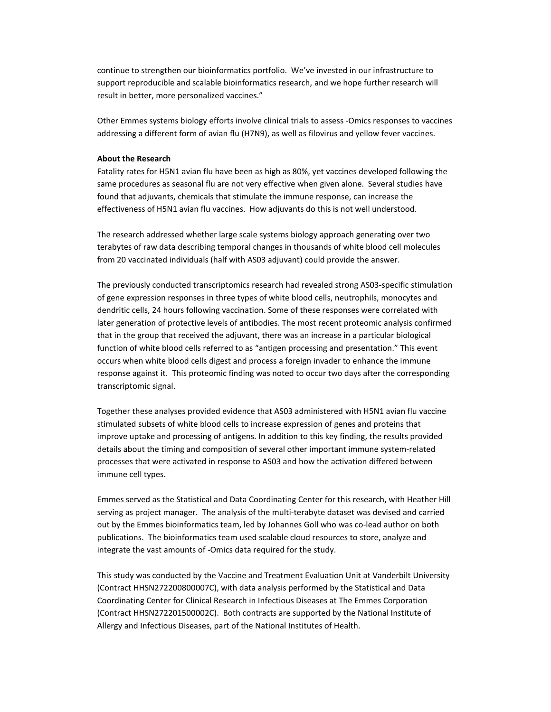continue to strengthen our bioinformatics portfolio. We've invested in our infrastructure to support reproducible and scalable bioinformatics research, and we hope further research will result in better, more personalized vaccines."

Other Emmes systems biology efforts involve clinical trials to assess -Omics responses to vaccines addressing a different form of avian flu (H7N9), as well as filovirus and yellow fever vaccines.

#### **About the Research**

Fatality rates for H5N1 avian flu have been as high as 80%, yet vaccines developed following the same procedures as seasonal flu are not very effective when given alone. Several studies have found that adjuvants, chemicals that stimulate the immune response, can increase the effectiveness of H5N1 avian flu vaccines. How adjuvants do this is not well understood.

The research addressed whether large scale systems biology approach generating over two terabytes of raw data describing temporal changes in thousands of white blood cell molecules from 20 vaccinated individuals (half with AS03 adjuvant) could provide the answer.

The previously conducted transcriptomics research had revealed strong AS03-specific stimulation of gene expression responses in three types of white blood cells, neutrophils, monocytes and dendritic cells, 24 hours following vaccination. Some of these responses were correlated with later generation of protective levels of antibodies. The most recent proteomic analysis confirmed that in the group that received the adjuvant, there was an increase in a particular biological function of white blood cells referred to as "antigen processing and presentation." This event occurs when white blood cells digest and process a foreign invader to enhance the immune response against it. This proteomic finding was noted to occur two days after the corresponding transcriptomic signal.

Together these analyses provided evidence that AS03 administered with H5N1 avian flu vaccine stimulated subsets of white blood cells to increase expression of genes and proteins that improve uptake and processing of antigens. In addition to this key finding, the results provided details about the timing and composition of several other important immune system-related processes that were activated in response to AS03 and how the activation differed between immune cell types.

Emmes served as the Statistical and Data Coordinating Center for this research, with Heather Hill serving as project manager. The analysis of the multi-terabyte dataset was devised and carried out by the Emmes bioinformatics team, led by Johannes Goll who was co-lead author on both publications. The bioinformatics team used scalable cloud resources to store, analyze and integrate the vast amounts of -Omics data required for the study.

This study was conducted by the Vaccine and Treatment Evaluation Unit at Vanderbilt University (Contract HHSN272200800007C), with data analysis performed by the Statistical and Data Coordinating Center for Clinical Research in Infectious Diseases at The Emmes Corporation (Contract HHSN272201500002C). Both contracts are supported by the National Institute of Allergy and Infectious Diseases, part of the National Institutes of Health.